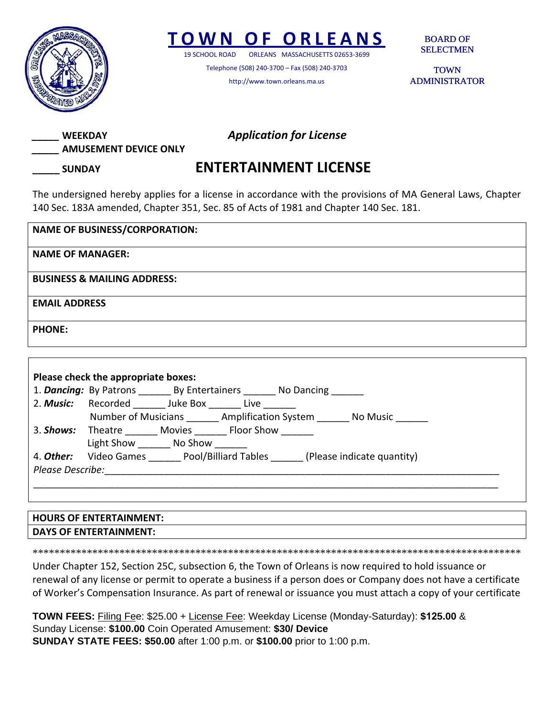

## **TOWN O F ORLEANS**

19 SCHOOL ROAD ORLEANS MASSACHUSETTS 02653‐3699

Telephone (508) 240‐3700 – Fax (508) 240‐3703 http://www.town.orleans.ma.us

BOARD OF SELECTMEN

TOWN ADMINISTRATOR



## **\_\_\_\_\_ SUNDAY ENTERTAINMENT LICENSE**

The undersigned hereby applies for a license in accordance with the provisions of MA General Laws, Chapter 140 Sec. 183A amended, Chapter 351, Sec. 85 of Acts of 1981 and Chapter 140 Sec. 181.

| <b>NAME OF BUSINESS/CORPORATION:</b>   |
|----------------------------------------|
| <b>NAME OF MANAGER:</b>                |
| <b>BUSINESS &amp; MAILING ADDRESS:</b> |
| <b>EMAIL ADDRESS</b>                   |
| <b>PHONE:</b>                          |

| Please check the appropriate boxes: |                                                                       | 1. Dancing: By Patrons By Entertainers No Dancing |  |  |                                                   |
|-------------------------------------|-----------------------------------------------------------------------|---------------------------------------------------|--|--|---------------------------------------------------|
|                                     | 2. Music: Recorded Juke Box _______ Live _______                      |                                                   |  |  |                                                   |
|                                     |                                                                       |                                                   |  |  | Number of Musicians Amplification System No Music |
|                                     | 3. <b>Shows:</b> Theatre Movies Floor Show                            |                                                   |  |  |                                                   |
|                                     | Light Show No Show                                                    |                                                   |  |  |                                                   |
|                                     | 4. Other: Video Games Pool/Billiard Tables (Please indicate quantity) |                                                   |  |  |                                                   |
| Please Describe:                    |                                                                       |                                                   |  |  |                                                   |

## **HOURS OF ENTERTAINMENT: DAYS OF ENTERTAINMENT:**

\*\*\*\*\*\*\*\*\*\*\*\*\*\*\*\*\*\*\*\*\*\*\*\*\*\*\*\*\*\*\*\*\*\*\*\*\*\*\*\*\*\*\*\*\*\*\*\*\*\*\*\*\*\*\*\*\*\*\*\*\*\*\*\*\*\*\*\*\*\*\*\*\*\*\*\*\*\*\*\*\*\*\*\*\*\*\*\*\*\*

Under Chapter 152, Section 25C, subsection 6, the Town of Orleans is now required to hold issuance or renewal of any license or permit to operate a business if a person does or Company does not have a certificate of Worker's Compensation Insurance. As part of renewal or issuance you must attach a copy of your certificate

**TOWN FEES:** Filing Fee: \$25.00 + License Fee: Weekday License (Monday-Saturday): **\$125.00** & Sunday License: **\$100.00** Coin Operated Amusement: **\$30/ Device SUNDAY STATE FEES: \$50.00** after 1:00 p.m. or **\$100.00** prior to 1:00 p.m.